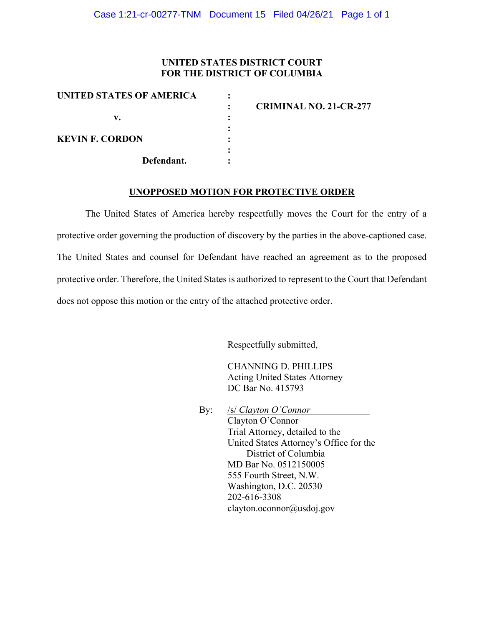#### **UNITED STATES DISTRICT COURT FOR THE DISTRICT OF COLUMBIA**

| UNITED STATES OF AMERICA | <b>CRIMINAL NO. 21-CR-277</b> |
|--------------------------|-------------------------------|
|                          |                               |
| v.                       |                               |
|                          |                               |
| <b>KEVIN F. CORDON</b>   |                               |
|                          |                               |
| Defendant.               |                               |

#### **UNOPPOSED MOTION FOR PROTECTIVE ORDER**

The United States of America hereby respectfully moves the Court for the entry of a protective order governing the production of discovery by the parties in the above-captioned case. The United States and counsel for Defendant have reached an agreement as to the proposed protective order. Therefore, the United States is authorized to represent to the Court that Defendant does not oppose this motion or the entry of the attached protective order.

Respectfully submitted,

CHANNING D. PHILLIPS Acting United States Attorney DC Bar No. 415793

By: /s/ *Clayton O'Connor* Clayton O'Connor Trial Attorney, detailed to the United States Attorney's Office for the District of Columbia MD Bar No. 0512150005 555 Fourth Street, N.W. Washington, D.C. 20530 202-616-3308 clayton.oconnor@usdoj.gov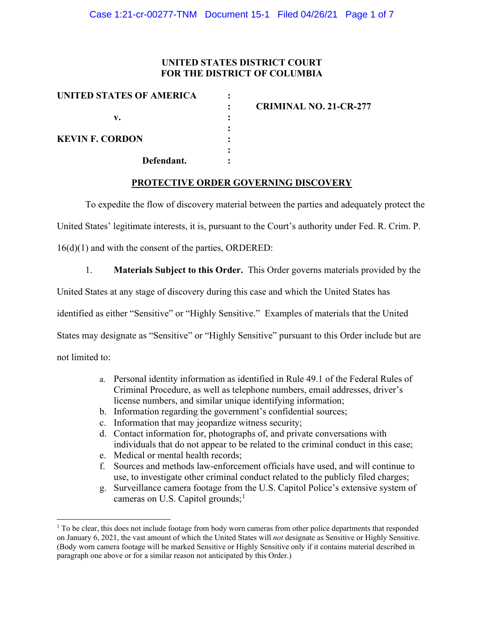### **UNITED STATES DISTRICT COURT FOR THE DISTRICT OF COLUMBIA**

| UNITED STATES OF AMERICA | <b>CRIMINAL NO. 21-CR-277</b> |
|--------------------------|-------------------------------|
| v.                       |                               |
|                          |                               |
| <b>KEVIN F. CORDON</b>   |                               |
|                          |                               |
| Defendant.               |                               |

### **PROTECTIVE ORDER GOVERNING DISCOVERY**

To expedite the flow of discovery material between the parties and adequately protect the

United States' legitimate interests, it is, pursuant to the Court's authority under Fed. R. Crim. P.

16(d)(1) and with the consent of the parties, ORDERED:

1. **Materials Subject to this Order.** This Order governs materials provided by the

United States at any stage of discovery during this case and which the United States has

identified as either "Sensitive" or "Highly Sensitive." Examples of materials that the United

States may designate as "Sensitive" or "Highly Sensitive" pursuant to this Order include but are

not limited to:

- a. Personal identity information as identified in Rule 49.1 of the Federal Rules of Criminal Procedure, as well as telephone numbers, email addresses, driver's license numbers, and similar unique identifying information;
- b. Information regarding the government's confidential sources;
- c. Information that may jeopardize witness security;
- d. Contact information for, photographs of, and private conversations with individuals that do not appear to be related to the criminal conduct in this case;
- e. Medical or mental health records;
- f. Sources and methods law-enforcement officials have used, and will continue to use, to investigate other criminal conduct related to the publicly filed charges;
- g. Surveillance camera footage from the U.S. Capitol Police's extensive system of cameras on U.S. Capitol grounds;<sup>1</sup>

 $1$  To be clear, this does not include footage from body worn cameras from other police departments that responded on January 6, 2021, the vast amount of which the United States will *not* designate as Sensitive or Highly Sensitive. (Body worn camera footage will be marked Sensitive or Highly Sensitive only if it contains material described in paragraph one above or for a similar reason not anticipated by this Order.)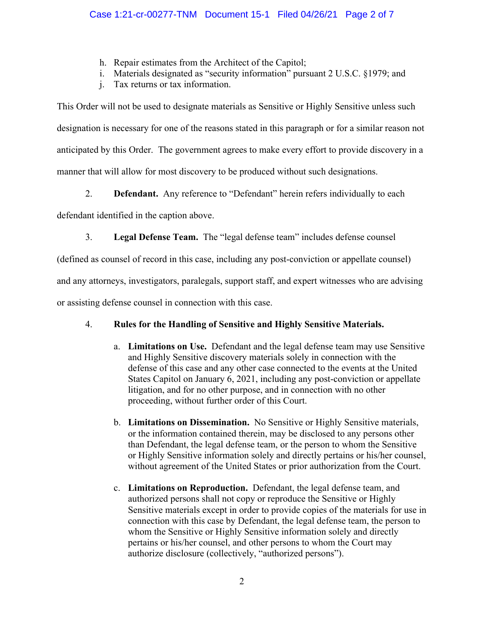- h. Repair estimates from the Architect of the Capitol;
- i. Materials designated as "security information" pursuant 2 U.S.C. §1979; and
- j. Tax returns or tax information.

This Order will not be used to designate materials as Sensitive or Highly Sensitive unless such designation is necessary for one of the reasons stated in this paragraph or for a similar reason not anticipated by this Order. The government agrees to make every effort to provide discovery in a manner that will allow for most discovery to be produced without such designations.

2. **Defendant.** Any reference to "Defendant" herein refers individually to each

defendant identified in the caption above.

3. **Legal Defense Team.** The "legal defense team" includes defense counsel

(defined as counsel of record in this case, including any post-conviction or appellate counsel)

and any attorneys, investigators, paralegals, support staff, and expert witnesses who are advising

or assisting defense counsel in connection with this case.

# 4. **Rules for the Handling of Sensitive and Highly Sensitive Materials.**

- a. **Limitations on Use.** Defendant and the legal defense team may use Sensitive and Highly Sensitive discovery materials solely in connection with the defense of this case and any other case connected to the events at the United States Capitol on January 6, 2021, including any post-conviction or appellate litigation, and for no other purpose, and in connection with no other proceeding, without further order of this Court.
- b. **Limitations on Dissemination.** No Sensitive or Highly Sensitive materials, or the information contained therein, may be disclosed to any persons other than Defendant, the legal defense team, or the person to whom the Sensitive or Highly Sensitive information solely and directly pertains or his/her counsel, without agreement of the United States or prior authorization from the Court.
- c. **Limitations on Reproduction.** Defendant, the legal defense team, and authorized persons shall not copy or reproduce the Sensitive or Highly Sensitive materials except in order to provide copies of the materials for use in connection with this case by Defendant, the legal defense team, the person to whom the Sensitive or Highly Sensitive information solely and directly pertains or his/her counsel, and other persons to whom the Court may authorize disclosure (collectively, "authorized persons").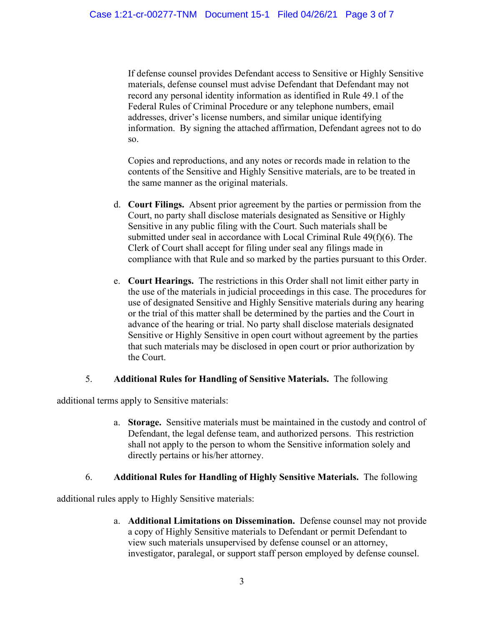If defense counsel provides Defendant access to Sensitive or Highly Sensitive materials, defense counsel must advise Defendant that Defendant may not record any personal identity information as identified in Rule 49.1 of the Federal Rules of Criminal Procedure or any telephone numbers, email addresses, driver's license numbers, and similar unique identifying information. By signing the attached affirmation, Defendant agrees not to do so.

Copies and reproductions, and any notes or records made in relation to the contents of the Sensitive and Highly Sensitive materials, are to be treated in the same manner as the original materials.

- d. **Court Filings.** Absent prior agreement by the parties or permission from the Court, no party shall disclose materials designated as Sensitive or Highly Sensitive in any public filing with the Court. Such materials shall be submitted under seal in accordance with Local Criminal Rule 49(f)(6). The Clerk of Court shall accept for filing under seal any filings made in compliance with that Rule and so marked by the parties pursuant to this Order.
- e. **Court Hearings.** The restrictions in this Order shall not limit either party in the use of the materials in judicial proceedings in this case. The procedures for use of designated Sensitive and Highly Sensitive materials during any hearing or the trial of this matter shall be determined by the parties and the Court in advance of the hearing or trial. No party shall disclose materials designated Sensitive or Highly Sensitive in open court without agreement by the parties that such materials may be disclosed in open court or prior authorization by the Court.

# 5. **Additional Rules for Handling of Sensitive Materials.** The following

additional terms apply to Sensitive materials:

a. **Storage.** Sensitive materials must be maintained in the custody and control of Defendant, the legal defense team, and authorized persons. This restriction shall not apply to the person to whom the Sensitive information solely and directly pertains or his/her attorney.

# 6. **Additional Rules for Handling of Highly Sensitive Materials.** The following

additional rules apply to Highly Sensitive materials:

a. **Additional Limitations on Dissemination.** Defense counsel may not provide a copy of Highly Sensitive materials to Defendant or permit Defendant to view such materials unsupervised by defense counsel or an attorney, investigator, paralegal, or support staff person employed by defense counsel.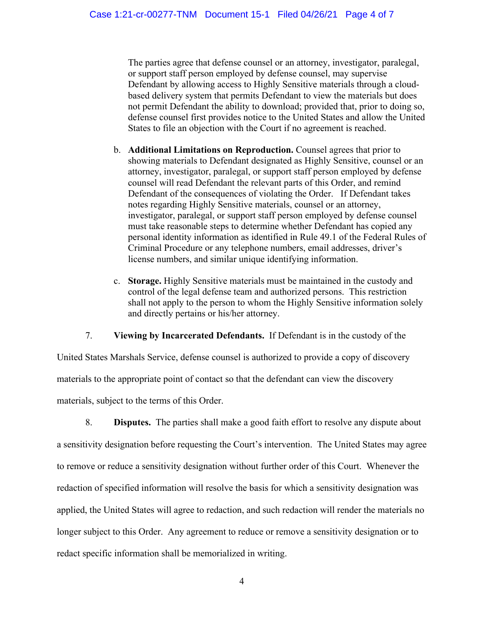The parties agree that defense counsel or an attorney, investigator, paralegal, or support staff person employed by defense counsel, may supervise Defendant by allowing access to Highly Sensitive materials through a cloudbased delivery system that permits Defendant to view the materials but does not permit Defendant the ability to download; provided that, prior to doing so, defense counsel first provides notice to the United States and allow the United States to file an objection with the Court if no agreement is reached.

- b. **Additional Limitations on Reproduction.** Counsel agrees that prior to showing materials to Defendant designated as Highly Sensitive, counsel or an attorney, investigator, paralegal, or support staff person employed by defense counsel will read Defendant the relevant parts of this Order, and remind Defendant of the consequences of violating the Order. If Defendant takes notes regarding Highly Sensitive materials, counsel or an attorney, investigator, paralegal, or support staff person employed by defense counsel must take reasonable steps to determine whether Defendant has copied any personal identity information as identified in Rule 49.1 of the Federal Rules of Criminal Procedure or any telephone numbers, email addresses, driver's license numbers, and similar unique identifying information.
- c. **Storage.** Highly Sensitive materials must be maintained in the custody and control of the legal defense team and authorized persons. This restriction shall not apply to the person to whom the Highly Sensitive information solely and directly pertains or his/her attorney.

7. **Viewing by Incarcerated Defendants.** If Defendant is in the custody of the

United States Marshals Service, defense counsel is authorized to provide a copy of discovery materials to the appropriate point of contact so that the defendant can view the discovery materials, subject to the terms of this Order.

8. **Disputes.** The parties shall make a good faith effort to resolve any dispute about a sensitivity designation before requesting the Court's intervention. The United States may agree to remove or reduce a sensitivity designation without further order of this Court. Whenever the redaction of specified information will resolve the basis for which a sensitivity designation was applied, the United States will agree to redaction, and such redaction will render the materials no longer subject to this Order. Any agreement to reduce or remove a sensitivity designation or to redact specific information shall be memorialized in writing.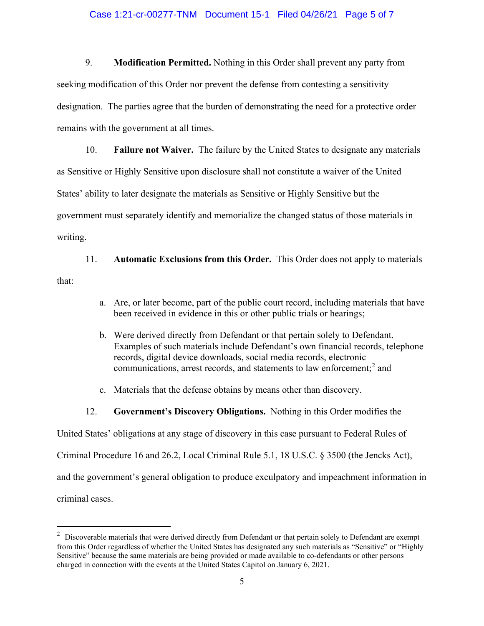#### Case 1:21-cr-00277-TNM Document 15-1 Filed 04/26/21 Page 5 of 7

9. **Modification Permitted.** Nothing in this Order shall prevent any party from seeking modification of this Order nor prevent the defense from contesting a sensitivity designation. The parties agree that the burden of demonstrating the need for a protective order remains with the government at all times.

10. **Failure not Waiver.** The failure by the United States to designate any materials as Sensitive or Highly Sensitive upon disclosure shall not constitute a waiver of the United States' ability to later designate the materials as Sensitive or Highly Sensitive but the government must separately identify and memorialize the changed status of those materials in writing.

11. **Automatic Exclusions from this Order.** This Order does not apply to materials that:

- a. Are, or later become, part of the public court record, including materials that have been received in evidence in this or other public trials or hearings;
- b. Were derived directly from Defendant or that pertain solely to Defendant. Examples of such materials include Defendant's own financial records, telephone records, digital device downloads, social media records, electronic communications, arrest records, and statements to law enforcement; <sup>2</sup> and
- c. Materials that the defense obtains by means other than discovery.
- 12. **Government's Discovery Obligations.** Nothing in this Order modifies the

United States' obligations at any stage of discovery in this case pursuant to Federal Rules of

Criminal Procedure 16 and 26.2, Local Criminal Rule 5.1, 18 U.S.C. § 3500 (the Jencks Act),

and the government's general obligation to produce exculpatory and impeachment information in

criminal cases.

 $2$  Discoverable materials that were derived directly from Defendant or that pertain solely to Defendant are exempt from this Order regardless of whether the United States has designated any such materials as "Sensitive" or "Highly Sensitive" because the same materials are being provided or made available to co-defendants or other persons charged in connection with the events at the United States Capitol on January 6, 2021.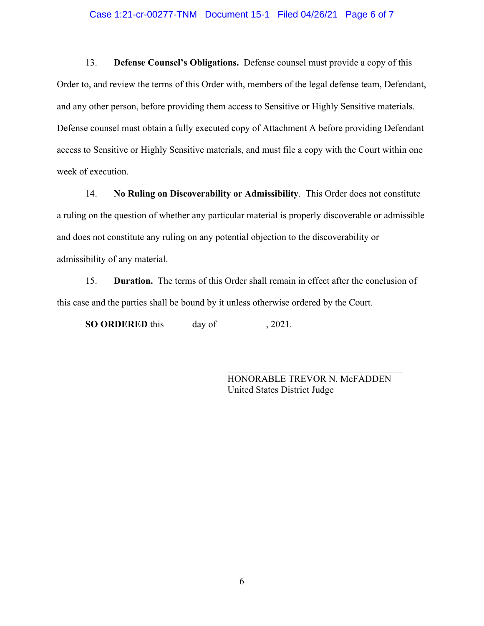#### Case 1:21-cr-00277-TNM Document 15-1 Filed 04/26/21 Page 6 of 7

13. **Defense Counsel's Obligations.** Defense counsel must provide a copy of this Order to, and review the terms of this Order with, members of the legal defense team, Defendant, and any other person, before providing them access to Sensitive or Highly Sensitive materials. Defense counsel must obtain a fully executed copy of Attachment A before providing Defendant access to Sensitive or Highly Sensitive materials, and must file a copy with the Court within one week of execution.

14. **No Ruling on Discoverability or Admissibility**. This Order does not constitute a ruling on the question of whether any particular material is properly discoverable or admissible and does not constitute any ruling on any potential objection to the discoverability or admissibility of any material.

15. **Duration.** The terms of this Order shall remain in effect after the conclusion of this case and the parties shall be bound by it unless otherwise ordered by the Court.

**SO ORDERED** this \_\_\_\_\_ day of \_\_\_\_\_\_\_\_\_\_, 2021.

HONORABLE TREVOR N. McFADDEN United States District Judge

\_\_\_\_\_\_\_\_\_\_\_\_\_\_\_\_\_\_\_\_\_\_\_\_\_\_\_\_\_\_\_\_\_\_\_\_\_